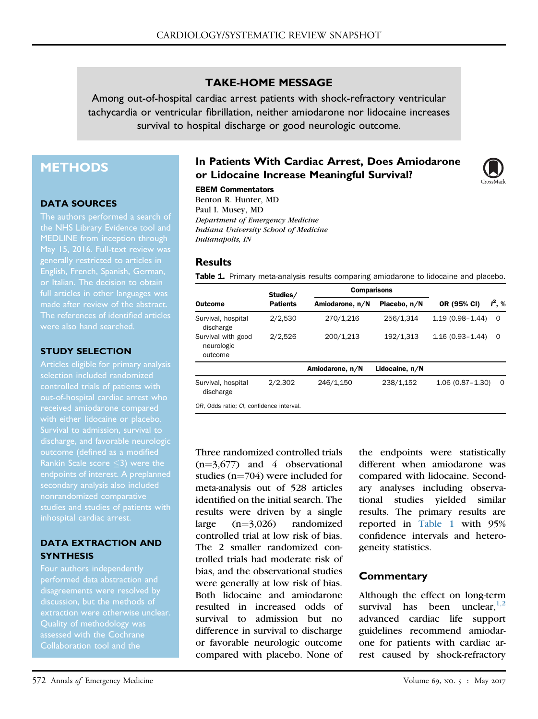#### TAKE-HOME MESSAGE

Among out-of-hospital cardiac arrest patients with shock-refractory ventricular tachycardia or ventricular fibrillation, neither amiodarone nor lidocaine increases survival to hospital discharge or good neurologic outcome.

## **METHODS**

#### DATA SOURCES

the NHS Library Evidence tool and MEDLINE from inception through generally restricted to articles in English, French, Spanish, German, full articles in other languages was made after review of the abstract. The references of identified articles were also hand searched.

#### STUDY SELECTION

Articles eligible for primary analysis selection included randomized controlled trials of patients with out-of-hospital cardiac arrest who with either lidocaine or placebo. Survival to admission, survival to discharge, and favorable neurologic outcome (defined as a modified Rankin Scale score  $\leq$ 3) were the nonrandomized comparative studies and studies of patients with

#### DATA EXTRACTION AND **SYNTHESIS**

Four authors independently disagreements were resolved by discussion, but the methods of Quality of methodology was assessed with the Cochrane Collaboration tool and the

### In Patients With Cardiac Arrest, Does Amiodarone or Lidocaine Increase Meaningful Survival?

EBEM Commentators Benton R. Hunter, MD Paul I. Musey, MD Department of Emergency Medicine Indiana University School of Medicine Indianapolis, IN

#### **Results**

<span id="page-0-0"></span>Table 1. Primary meta-analysis results comparing amiodarone to lidocaine and placebo.

|                                             | Studies/<br><b>Patients</b> | <b>Comparisons</b> |                |                     |          |
|---------------------------------------------|-----------------------------|--------------------|----------------|---------------------|----------|
| Outcome                                     |                             | Amiodarone, n/N    | Placebo, n/N   | OR (95% CI)         | $I^2, %$ |
| Survival, hospital<br>discharge             | 2/2,530                     | 270/1,216          | 256/1,314      | $1.19(0.98 - 1.44)$ | $\Omega$ |
| Survival with good<br>neurologic<br>outcome | 2/2,526                     | 200/1,213          | 192/1,313      | $1.16(0.93 - 1.44)$ | $\Omega$ |
|                                             |                             | Amiodarone, n/N    | Lidocaine, n/N |                     |          |
| Survival, hospital<br>discharge             | 2/2,302                     | 246/1,150          | 238/1,152      | $1.06(0.87 - 1.30)$ | $\Omega$ |

OR, Odds ratio; CI, confidence interval.

Three randomized controlled trials  $(n=3,677)$  and 4 observational studies ( $n=704$ ) were included for meta-analysis out of 528 articles identified on the initial search. The results were driven by a single large  $(n=3,026)$  randomized controlled trial at low risk of bias. The 2 smaller randomized controlled trials had moderate risk of bias, and the observational studies were generally at low risk of bias. Both lidocaine and amiodarone resulted in increased odds of survival to admission but no difference in survival to discharge or favorable neurologic outcome compared with placebo. None of

the endpoints were statistically different when amiodarone was compared with lidocaine. Secondary analyses including observational studies yielded similar results. The primary results are reported in [Table 1](#page-0-0) with 95% confidence intervals and heterogeneity statistics.

#### **Commentary**

Although the effect on long-term survival has been unclear, $1,2$ advanced cardiac life support guidelines recommend amiodarone for patients with cardiac arrest caused by shock-refractory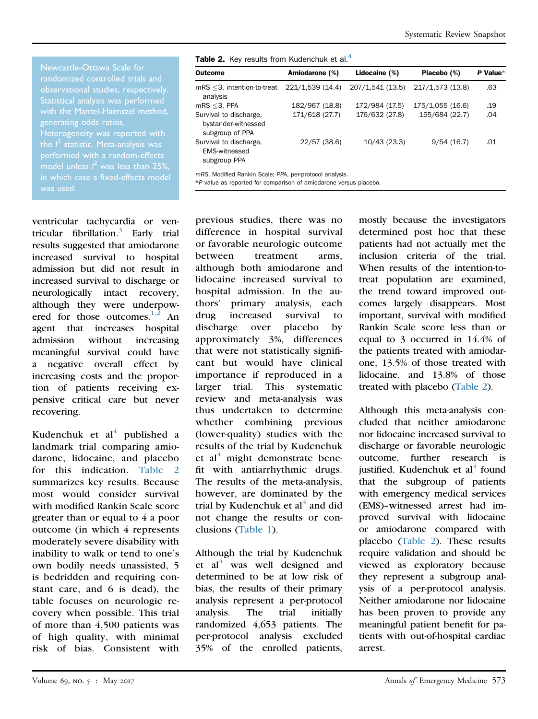|                                                                | <b>TUNIO EI</b> TICY TCOULD TIONT INGGCHOHAN CL GIL               |                  |                  |                  |            |  |  |
|----------------------------------------------------------------|-------------------------------------------------------------------|------------------|------------------|------------------|------------|--|--|
| Newcastle-Ottawa Scale for<br>randomized controlled trials and | <b>Outcome</b>                                                    | Amiodarone (%)   | Lidocaine (%)    | Placebo (%)      | $P$ Value* |  |  |
| observational studies, respectively.                           | $mRS < 3$ , intention-to-treat<br>analysis                        | 221/1,539 (14.4) | 207/1,541 (13.5) | 217/1,573 (13.8) | .63        |  |  |
| Statistical analysis was performed                             | $mRS < 3$ , PPA                                                   | 182/967 (18.8)   | 172/984 (17.5)   | 175/1,055 (16.6) | .19        |  |  |
| with the Mantel-Haenszel method,                               | Survival to discharge,                                            | 171/618 (27.7)   | 176/632 (27.8)   | 155/684 (22.7)   | .04        |  |  |
| generating odds ratios.                                        | bystander-witnessed                                               |                  |                  |                  |            |  |  |
| Heterogeneity was reported with                                | subgroup of PPA                                                   |                  |                  |                  |            |  |  |
| the $l^2$ statistic. Meta-analysis was                         | Survival to discharge,                                            | 22/57 (38.6)     | 10/43(23.3)      | 9/54(16.7)       | .01        |  |  |
| performed with a random-effects                                | <b>EMS-witnessed</b><br>subgroup PPA                              |                  |                  |                  |            |  |  |
| model unless $l^2$ was less than 25%,                          |                                                                   |                  |                  |                  |            |  |  |
| in which case a fixed-effects model                            | mRS, Modified Rankin Scale; PPA, per-protocol analysis.           |                  |                  |                  |            |  |  |
|                                                                | *P value as reported for comparison of amiodarone versus placebo. |                  |                  |                  |            |  |  |

<span id="page-1-0"></span>Table 2. Key results from Kudenchuk et al.<sup>[4](#page-2-2)</sup>

ventricular tachycardia or ventricular fibrillation. $3$  Early trial results suggested that amiodarone increased survival to hospital admission but did not result in increased survival to discharge or neurologically intact recovery, although they were underpowered for those outcomes. $1,2$  An agent that increases hospital admission without increasing meaningful survival could have a negative overall effect by increasing costs and the proportion of patients receiving expensive critical care but never recovering.

Kudenchuk et  $al<sup>4</sup>$  $al<sup>4</sup>$  $al<sup>4</sup>$  published a landmark trial comparing amiodarone, lidocaine, and placebo for this indication. [Table 2](#page-1-0) summarizes key results. Because most would consider survival with modified Rankin Scale score greater than or equal to 4 a poor outcome (in which 4 represents moderately severe disability with inability to walk or tend to one's own bodily needs unassisted, 5 is bedridden and requiring constant care, and 6 is dead), the table focuses on neurologic recovery when possible. This trial of more than 4,500 patients was of high quality, with minimal risk of bias. Consistent with

<span id="page-1-1"></span>previous studies, there was no difference in hospital survival or favorable neurologic outcome between treatment arms, although both amiodarone and lidocaine increased survival to hospital admission. In the authors' primary analysis, each drug increased survival to discharge over placebo by approximately 3%, differences that were not statistically significant but would have clinical importance if reproduced in a larger trial. This systematic review and meta-analysis was thus undertaken to determine whether combining previous (lower-quality) studies with the results of the trial by Kudenchuk et al<sup>[4](#page-2-2)</sup> might demonstrate benefit with antiarrhythmic drugs. The results of the meta-analysis, however, are dominated by the trial by Kudenchuk et  $al<sup>4</sup>$  $al<sup>4</sup>$  $al<sup>4</sup>$  and did not change the results or conclusions ([Table 1\)](#page-0-0).

Although the trial by Kudenchuk et  $al<sup>4</sup>$  $al<sup>4</sup>$  $al<sup>4</sup>$  was well designed and determined to be at low risk of bias, the results of their primary analysis represent a per-protocol analysis. The trial initially randomized 4,653 patients. The per-protocol analysis excluded 35% of the enrolled patients, mostly because the investigators determined post hoc that these patients had not actually met the inclusion criteria of the trial. When results of the intention-totreat population are examined, the trend toward improved outcomes largely disappears. Most important, survival with modified Rankin Scale score less than or equal to 3 occurred in 14.4% of the patients treated with amiodarone, 13.5% of those treated with lidocaine, and 13.8% of those treated with placebo [\(Table 2\)](#page-1-0).

Although this meta-analysis concluded that neither amiodarone nor lidocaine increased survival to discharge or favorable neurologic outcome, further research is justified. Kudenchuk et  $al<sup>4</sup>$  $al<sup>4</sup>$  $al<sup>4</sup>$  found that the subgroup of patients with emergency medical services (EMS)–witnessed arrest had improved survival with lidocaine or amiodarone compared with placebo ([Table 2\)](#page-1-0). These results require validation and should be viewed as exploratory because they represent a subgroup analysis of a per-protocol analysis. Neither amiodarone nor lidocaine has been proven to provide any meaningful patient benefit for patients with out-of-hospital cardiac arrest.